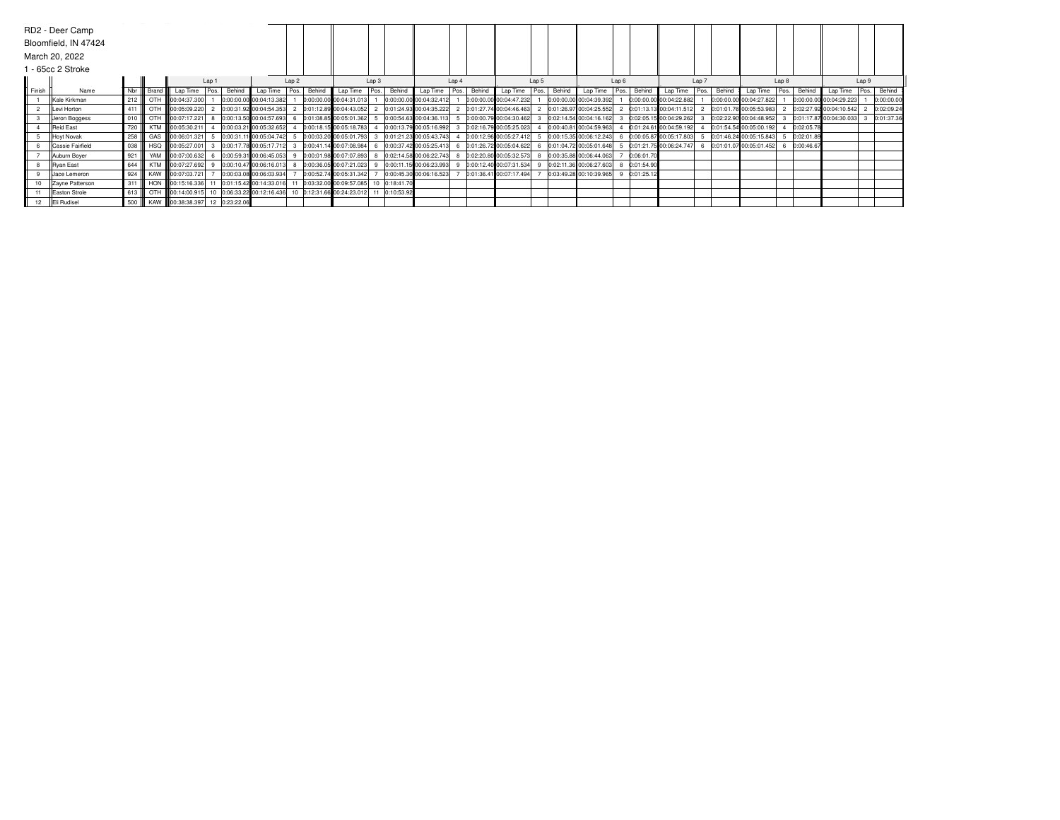|        | RD2 - Deer Camp      |        |             |                                 |       |        |                                                                         |                  |               |                            |                  |            |                         |       |        |                         |       |             |                           |      |            |                         |      |        |                         |      |            |                         |      |             |
|--------|----------------------|--------|-------------|---------------------------------|-------|--------|-------------------------------------------------------------------------|------------------|---------------|----------------------------|------------------|------------|-------------------------|-------|--------|-------------------------|-------|-------------|---------------------------|------|------------|-------------------------|------|--------|-------------------------|------|------------|-------------------------|------|-------------|
|        | Bloomfield, IN 47424 |        |             |                                 |       |        |                                                                         |                  |               |                            |                  |            |                         |       |        |                         |       |             |                           |      |            |                         |      |        |                         |      |            |                         |      |             |
|        | March 20, 2022       |        |             |                                 |       |        |                                                                         |                  |               |                            |                  |            |                         |       |        |                         |       |             |                           |      |            |                         |      |        |                         |      |            |                         |      |             |
|        | 1 - 65cc 2 Stroke    |        |             |                                 |       |        |                                                                         |                  |               |                            |                  |            |                         |       |        |                         |       |             |                           |      |            |                         |      |        |                         |      |            |                         |      |             |
|        |                      |        |             |                                 | Lap 1 |        |                                                                         | Lap <sub>2</sub> |               |                            | Lap <sub>3</sub> |            |                         | Lap 4 |        |                         | Lap 5 |             | Lap <sub>6</sub>          |      |            | Lap 7                   |      |        | Lap 8                   |      |            | Lap <sub>9</sub>        |      |             |
| Finish | Name                 |        | Nbr   Brand | Lap Time                        | Pos.  | Behind | Lap Time                                                                |                  | Pos.   Behind | Lap Time   Pos.            |                  | Behind     | Lap Time                | Pos.  | Behind | Lap Time                |       | Pos. Behind | Lap Time                  | Pos. | Behind     | Lap Time                | Pos. | Behind | Lap Time                | Pos. | Behind     | Lap Time                | Pos. | Behind      |
|        | Kale Kirkman         | 212    |             | OTH 100:04:37.300               |       |        | 0:00:00.00 00:04:13.382                                                 |                  |               | 0:00:00.00 00:04:31.013    |                  |            | 0:00:00.00 00:04:32.412 |       |        | 0:00:00.00 00:04:47.232 |       |             | 0:00:00.00 00:04:39.392   |      |            | 0:00:00.00 00:04:22.882 |      |        | 0:00:00.00 00:04:27.822 |      |            | 0:00:00.00 00:04:29.223 |      | 0:00:00.00  |
|        | Levi Horton          | 411    |             | OTH 100:05:09.220               |       |        | 2 0:00:31.92 00:04:54.353                                               |                  |               | 2 0:01:12.89 00:04:43.052  |                  |            | 0:01:24.93 00:04:35.222 |       |        | 0:01:27.74 00:04:46.463 |       |             | 2 0:01:26.97 00:04:25.552 |      |            | 0:01:13.13 00:04:11.512 |      |        | 0:01:01.76 00:05:53.983 |      |            | 0:02:27.92 00:04:10.542 |      | 2 0:02:09.2 |
|        | Jeron Boggess        | 010    |             | OTH 800:07:17.221               |       |        | 0:00:13.50 00:04:57.693                                                 |                  |               | 0:01:08.85 00:05:01.362    |                  |            | 0:00:54.63 00:04:36.113 |       |        | 0:00:00.79 00:04:30.462 |       |             | 3 0:02:14.54 00:04:16.162 |      |            | 0:02:05.15 00:04:29.262 |      |        | 0:02:22.90 00:04:48.952 |      |            | 0:01:17.87 00:04:30.033 |      | 0:01:37.36  |
|        | <b>Reid East</b>     | 720    |             | KTM 800:05:30.211               |       |        | 0:00:03.21 00:05:32.652                                                 |                  |               | 0:00:18.15 00:05:18.783    |                  |            | 0:00:13.79 00:05:16.992 |       |        | 0:02:16.79 00:05:25.023 |       |             | 0:00:40.81 00:04:59.963   |      |            | 0:01:24.61 00:04:59.192 |      |        | 0:01:54.54 00:05:00.192 |      | 0:02:05.78 |                         |      |             |
|        | Hoyt Novak           | 258    |             | GAS <b>600:06:01.321</b>        |       |        | 5 0:00:31.11 00:05:04.742                                               |                  |               | 5 0:00:03.20 00:05:01.793  |                  |            | 0:01:21.23 00:05:43.743 |       |        | 0:00:12.96 00:05:27.412 |       |             | 5 0:00:15.35 00:06:12.243 |      |            | 0:00:05.87 00:05:17.803 |      |        | 0:01:46.24 00:05:15.843 |      | 0:02:01.89 |                         |      |             |
|        | Cassie Fairfield     | 038    |             | HSQ 800:05:27.001               |       |        | 3 0:00:17.78 00:05:17.712 3                                             |                  |               | 0:00:41.14 00:07:08.984 6  |                  |            | 0:00:37.42 00:05:25.413 | 6     |        | 0:01:26.72 00:05:04.622 |       |             | 6 0:01:04.72 00:05:01.648 |      |            | 0:01:21.75 00:06:24.747 |      |        | 0:01:01.07 00:05:01.452 |      | 0:00:46.67 |                         |      |             |
|        | Auburn Boyer         | 921    |             |                                 |       |        | YAM   00:07:00.632 6 0:00:59.31 00:06:45.053                            |                  |               | 0:00:01.98 00:07:07.893    |                  |            | 0:02:14.58 00:06:22.743 |       |        | 0:02:20.80 00:05:32.573 |       |             | 8 0:00:35.88 00:06:44.063 |      | 0:06:01.70 |                         |      |        |                         |      |            |                         |      |             |
|        | <b>Ryan East</b>     | 644    |             |                                 |       |        | KTM \\00:07:27.692 9 0:00:10.47 00:06:16.013 8 0:00:36.05 00:07:21.023  |                  |               |                            |                  |            | 0:00:11.15 00:06:23.993 |       |        | 0:00:12.40 00:07:31.534 |       |             | 9 0:02:11.36 00:06:27.603 |      | 0:01:54.90 |                         |      |        |                         |      |            |                         |      |             |
|        | Jace Lemeron         | 924    |             | KAW 800:07:03.721               |       |        | 0:00:03.08 00:06:03.934                                                 |                  |               | 0:00:52.74 00:05:31.342    |                  |            | 0:00:45.30 00:06:16.523 |       |        | 0:01:36.41 00:07:17.494 |       |             | 0:03:49.28 00:10:39.965   |      | 0:01:25.12 |                         |      |        |                         |      |            |                         |      |             |
|        | Zayne Patterson      | 311    |             | HON 00:15:16.336                |       |        | 11 0:01:15.42 00:14:33.016                                              |                  |               | 11 0:03:32.00 00:09:57.085 |                  | 0:18:41.70 |                         |       |        |                         |       |             |                           |      |            |                         |      |        |                         |      |            |                         |      |             |
|        | Easton Strole        | 613    |             |                                 |       |        | OTH 800:14:00.915 10 0:06:33.22 00:12:16.436 10 0:12:31.66 00:24:23.012 |                  |               |                            |                  | 0:10:53.92 |                         |       |        |                         |       |             |                           |      |            |                         |      |        |                         |      |            |                         |      |             |
| 12     | Eli Rudisel          | 500 II |             | KAW 800:38:38.397 12 0:23:22.06 |       |        |                                                                         |                  |               |                            |                  |            |                         |       |        |                         |       |             |                           |      |            |                         |      |        |                         |      |            |                         |      |             |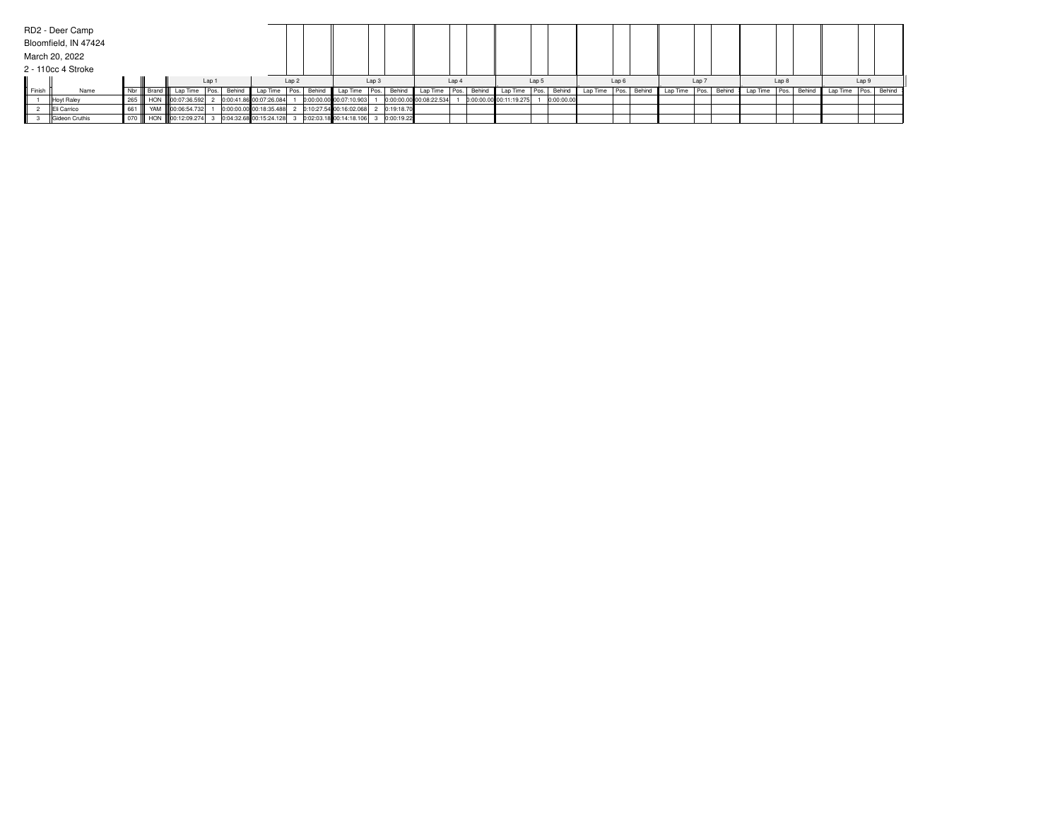|        | RD2 - Deer Camp      |  |                                                                                                                             |       |                         |       |                                        |                  |                         |       |                         |       |            |                          |                  |                 |       |        |          |                  |             |                      |       |  |
|--------|----------------------|--|-----------------------------------------------------------------------------------------------------------------------------|-------|-------------------------|-------|----------------------------------------|------------------|-------------------------|-------|-------------------------|-------|------------|--------------------------|------------------|-----------------|-------|--------|----------|------------------|-------------|----------------------|-------|--|
|        | Bloomfield, IN 47424 |  |                                                                                                                             |       |                         |       |                                        |                  |                         |       |                         |       |            |                          |                  |                 |       |        |          |                  |             |                      |       |  |
|        | March 20, 2022       |  |                                                                                                                             |       |                         |       |                                        |                  |                         |       |                         |       |            |                          |                  |                 |       |        |          |                  |             |                      |       |  |
|        | 2 - 110cc 4 Stroke   |  |                                                                                                                             |       |                         |       |                                        |                  |                         |       |                         |       |            |                          |                  |                 |       |        |          |                  |             |                      |       |  |
|        |                      |  |                                                                                                                             | Lap 1 |                         | Lap 2 |                                        | Lap <sub>3</sub> |                         | Lap 4 |                         | Lap 5 |            |                          | Lap <sub>6</sub> |                 | Lap 7 |        |          | Lap <sub>8</sub> |             |                      | Lap 9 |  |
| Finish | Name                 |  | Nbr     Brand     Lap Time   Pos.   Behind   Lap Time   Pos.   Behind   Lap Time   Pos.   Behind   Lap Time   Pos.   Behind |       |                         |       |                                        |                  |                         |       | Lap Time Pos.           |       | Behind     | Lap Time   Pos.   Behind |                  | Lap Time   Pos. |       | Behind | Lap Time |                  | Pos. Behind | Lap Time Pos. Behind |       |  |
|        | Hoyt Raley           |  | 265    HON   00:07:36.592                                                                                                   |       | 0:00:41.86 00:07:26.084 |       | 0:00:00.00 00:07:10.903                |                  | 0:00:00.00 00:08:22.534 |       | 0:00:00.00 00:11:19.275 |       | 0:00:00.00 |                          |                  |                 |       |        |          |                  |             |                      |       |  |
|        | Eli Carrico          |  | 661    YAM   00:06:54.732                                                                                                   |       | 0:00:00.00 00:18:35.488 |       | 2 0:10:27.54 00:16:02.068 2 0:19:18.70 |                  |                         |       |                         |       |            |                          |                  |                 |       |        |          |                  |             |                      |       |  |
|        | Gideon Cruthis       |  | 070       HON      00:12:09.274  3   0:04:32.68  00:15:24.128  3   0:02:03.18  00:14:18.106  3   0:00:19.22                 |       |                         |       |                                        |                  |                         |       |                         |       |            |                          |                  |                 |       |        |          |                  |             |                      |       |  |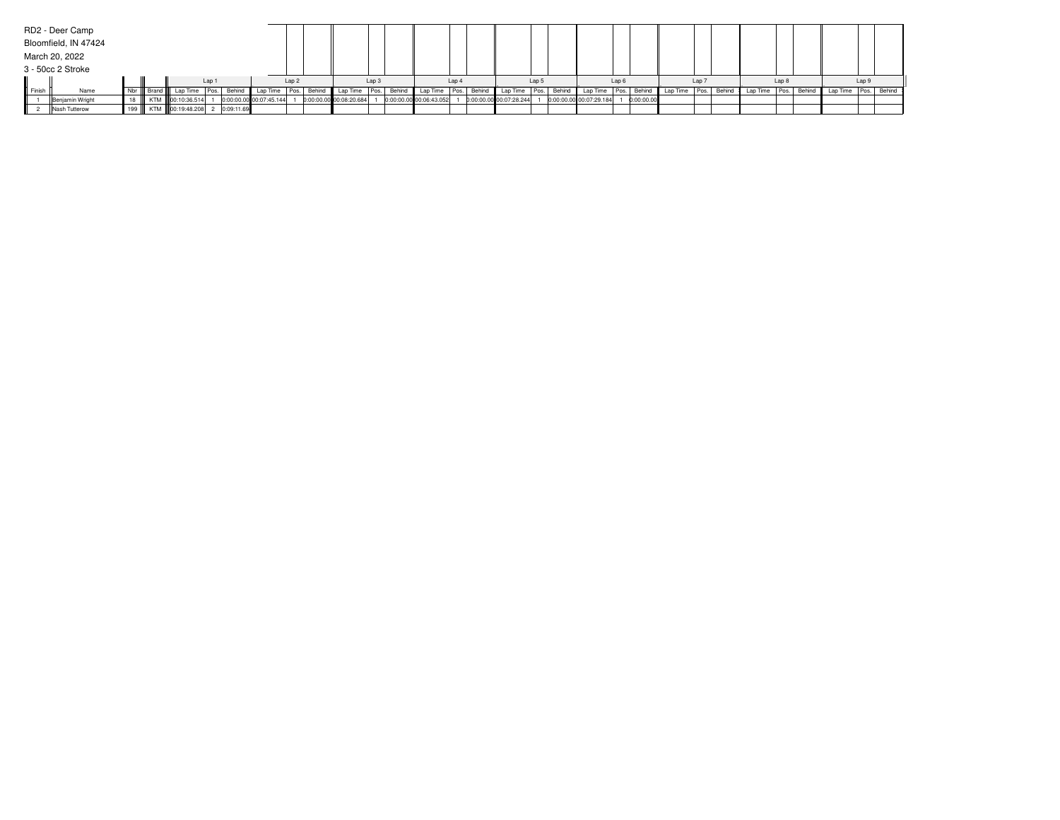|                 | RD2 - Deer Camp      |        |                                  |       |            |                         |                  |             |                         |                  |        |                          |       |                         |                  |        |                         |                  |            |                      |                  |        |          |                  |                      |       |  |
|-----------------|----------------------|--------|----------------------------------|-------|------------|-------------------------|------------------|-------------|-------------------------|------------------|--------|--------------------------|-------|-------------------------|------------------|--------|-------------------------|------------------|------------|----------------------|------------------|--------|----------|------------------|----------------------|-------|--|
|                 | Bloomfield, IN 47424 |        |                                  |       |            |                         |                  |             |                         |                  |        |                          |       |                         |                  |        |                         |                  |            |                      |                  |        |          |                  |                      |       |  |
|                 | March 20, 2022       |        |                                  |       |            |                         |                  |             |                         |                  |        |                          |       |                         |                  |        |                         |                  |            |                      |                  |        |          |                  |                      |       |  |
|                 | 3 - 50cc 2 Stroke    |        |                                  |       |            |                         |                  |             |                         |                  |        |                          |       |                         |                  |        |                         |                  |            |                      |                  |        |          |                  |                      |       |  |
|                 |                      |        |                                  | Lap 1 |            |                         | Lap <sub>2</sub> |             |                         | Lap <sub>3</sub> |        |                          | Lap 4 |                         | Lap <sub>5</sub> |        |                         | Lap <sub>6</sub> |            |                      | Lap <sub>7</sub> |        |          | Lap <sub>8</sub> |                      | Lap 9 |  |
| <b>I</b> Finish | Name                 | Nbr II | Brand   Lap Time   Pos.   Behind |       |            | Lap Time                |                  | Pos. Behind | Lap Time                | Pos.             | Behind | Lap Time   Pos.   Behind |       | Lap Time                | Pos.             | Behind | Lap Time   Pos.         |                  |            | Behind Lap Time Pos. |                  | Behind | Lap Time | Pos. Behind      | Lap Time Pos. Behind |       |  |
|                 | Benjamin Wright      |        | KTM   00:10:36.514               |       |            | 0:00:00.00 00:07:45.144 |                  |             | 0:00:00.00 00:08:20.684 |                  |        | 0:00:00.00 00:06:43.052  |       | 0:00:00.00 00:07:28.244 |                  |        | 0:00:00.00 00:07:29.184 |                  | 0:00:00.00 |                      |                  |        |          |                  |                      |       |  |
|                 | Nash Tutterow        |        | 199    KTM   00:19:48.208        |       | 0:09:11.69 |                         |                  |             |                         |                  |        |                          |       |                         |                  |        |                         |                  |            |                      |                  |        |          |                  |                      |       |  |